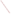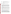## **AGENCY:** ENVIRONMENTAL PROTECTION AGENCY (EPA)

**TITLE:** "MARKET-BASED APPROACHES TO REDUCING GREENHOUSE GAS EMISSIONS THROUGH ENERGY EFFICIENCY IN HOMES AND BUILDINGS"

**ACTION:** Request for Initial Proposals (RFIP) - Questions and Answers.

**RFIP NO:** OAR-CPPD-05-03

**CATALOG OF FEDERAL DOMESTIC ASSISTANCE (CFDA) NO:** 66.034

- **SUMMARY:** Formal Agency responses to questions/comments regarding the subject solicitation.
- **1. Please advise if you have restrictions on the types of designs or construction materials used. The reason I ask the question is due to a USDA refusal to grant funds for our innovative passive solar home design, with a solar attic. USDA also said that any unusual construction materials would not be allowed; e.g. earth-block, straw bale, cordwood etc.**

This RFIP seeks proposals to further enhance delivery of energy efficient products used in residential and commercial sectors. The activities you described are not eligible for consideration under this RFA.

**2. We have a technology for holographic solar lighting and energy savings (lower lighting costs, lower consequent A/C) and I would like a short conversation to determine if a program to bring this to market suits this RFP. Phase II work was supported by NSF and USDA.**

Because this is an open competitive opportunity, in the interest of fairness, we are unable to meet with individual potential applicants to discuss details of the program or proposal development.

Specific questions regarding the solicitation may be submitted, in writing, via postal mail, facsimile, or by using our website. Answers will be posted, bi-weekly, until the closing date of this announcement, to the OAR Grants & Funding webpage located at: http://www.epa.gov/air/grants\_funding.html. *(Refer to Section VII, Agency Contact.)*

**3. The Scope of Work states that proposals may address delivering improved energy performance to existing commercial buildings (e.g., offices, schools, hotels, hospitals, supermarkets, etc.) through technology or practice. We are contemplating submitting a proposal that focuses on small and medium commercial customers, including corner grocery stores, restaurants, and warehouses. Does this population fit within the Work Scope?**